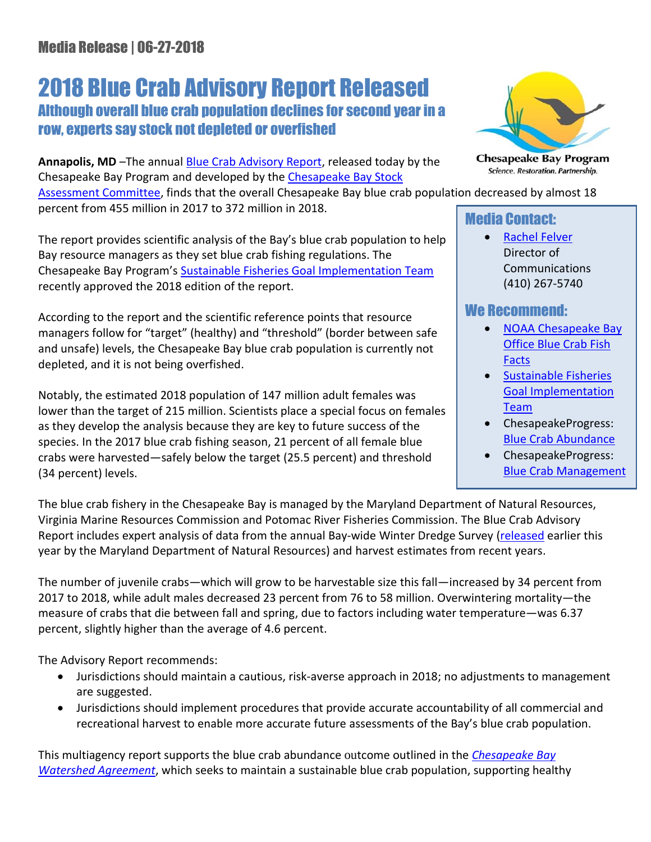# 2018 Blue Crab Advisory Report Released Although overall blue crab population declines for second year in a row, experts say stock not depleted or overfished

**Annapolis, MD** –The annual [Blue Crab Advisory Report,](https://www.chesapeakebay.net/documents/CBSAC_2018_Crab_Advisory_Report_Final.pdf) released today by the Chesapeake Bay Program and developed by the [Chesapeake Bay Stock](http://www.chesapeakebay.net/groups/group/chesapeake_bay_stock_assessment_committee) 

[Assessment Committee,](http://www.chesapeakebay.net/groups/group/chesapeake_bay_stock_assessment_committee) finds that the overall Chesapeake Bay blue crab population decreased by almost 18 percent from 455 million in 2017 to 372 million in 2018.

The report provides scientific analysis of the Bay's blue crab population to help Bay resource managers as they set blue crab fishing regulations. The Chesapeake Bay Program's [Sustainable Fisheries Goal Implementation Team](http://www.chesapeakebay.net/groups/group/sustainable_fisheries) recently approved the 2018 edition of the report.

According to the report and the scientific reference points that resource managers follow for "target" (healthy) and "threshold" (border between safe and unsafe) levels, the Chesapeake Bay blue crab population is currently not depleted, and it is not being overfished.

Notably, the estimated 2018 population of 147 million adult females was lower than the target of 215 million. Scientists place a special focus on females as they develop the analysis because they are key to future success of the species. In the 2017 blue crab fishing season, 21 percent of all female blue crabs were harvested—safely below the target (25.5 percent) and threshold (34 percent) levels.



**Chesapeake Bay Program** Science. Restoration. Partnership.

### Media Contact:

• [Rachel Felver](mailto:rfelver@chesapeakebay.net) Director of Communications (410) 267-5740

## We Recommend:

- [NOAA Chesapeake Bay](https://chesapeakebay.noaa.gov/fish-facts/blue-crab)  [Office Blue Crab Fish](https://chesapeakebay.noaa.gov/fish-facts/blue-crab)  [Facts](https://chesapeakebay.noaa.gov/fish-facts/blue-crab)
- **•** Sustainable Fisheries [Goal Implementation](http://www.chesapeakebay.net/groups/group/sustainable_fisheries)  [Team](http://www.chesapeakebay.net/groups/group/sustainable_fisheries)
- ChesapeakeProgress: [Blue Crab Abundance](http://www.chesapeakeprogress.com/abundant-life/blue-crab-abundance)
- ChesapeakeProgress: [Blue Crab Management](http://www.chesapeakeprogress.com/abundant-life/blue-crab-management)

The blue crab fishery in the Chesapeake Bay is managed by the Maryland Department of Natural Resources, Virginia Marine Resources Commission and Potomac River Fisheries Commission. The Blue Crab Advisory Report includes expert analysis of data from the annual Bay-wide Winter Dredge Survey [\(released](https://www.chesapeakebay.net/news/blog/blue_crab_population_healthy_despite_decrease_in_population) earlier this year by the Maryland Department of Natural Resources) and harvest estimates from recent years.

The number of juvenile crabs—which will grow to be harvestable size this fall—increased by 34 percent from 2017 to 2018, while adult males decreased 23 percent from 76 to 58 million. Overwintering mortality—the measure of crabs that die between fall and spring, due to factors including water temperature—was 6.37 percent, slightly higher than the average of 4.6 percent.

The Advisory Report recommends:

- Jurisdictions should maintain a cautious, risk-averse approach in 2018; no adjustments to management are suggested.
- Jurisdictions should implement procedures that provide accurate accountability of all commercial and recreational harvest to enable more accurate future assessments of the Bay's blue crab population.

This multiagency report supports the blue crab abundance outcome outlined in the *[Chesapeake Bay](http://www.chesapeakebay.net/documents/FINAL_Ches_Bay_Watershed_Agreement.withsignatures-HIres.pdf)  [Watershed Agreement](http://www.chesapeakebay.net/documents/FINAL_Ches_Bay_Watershed_Agreement.withsignatures-HIres.pdf)*, which seeks to maintain a sustainable blue crab population, supporting healthy